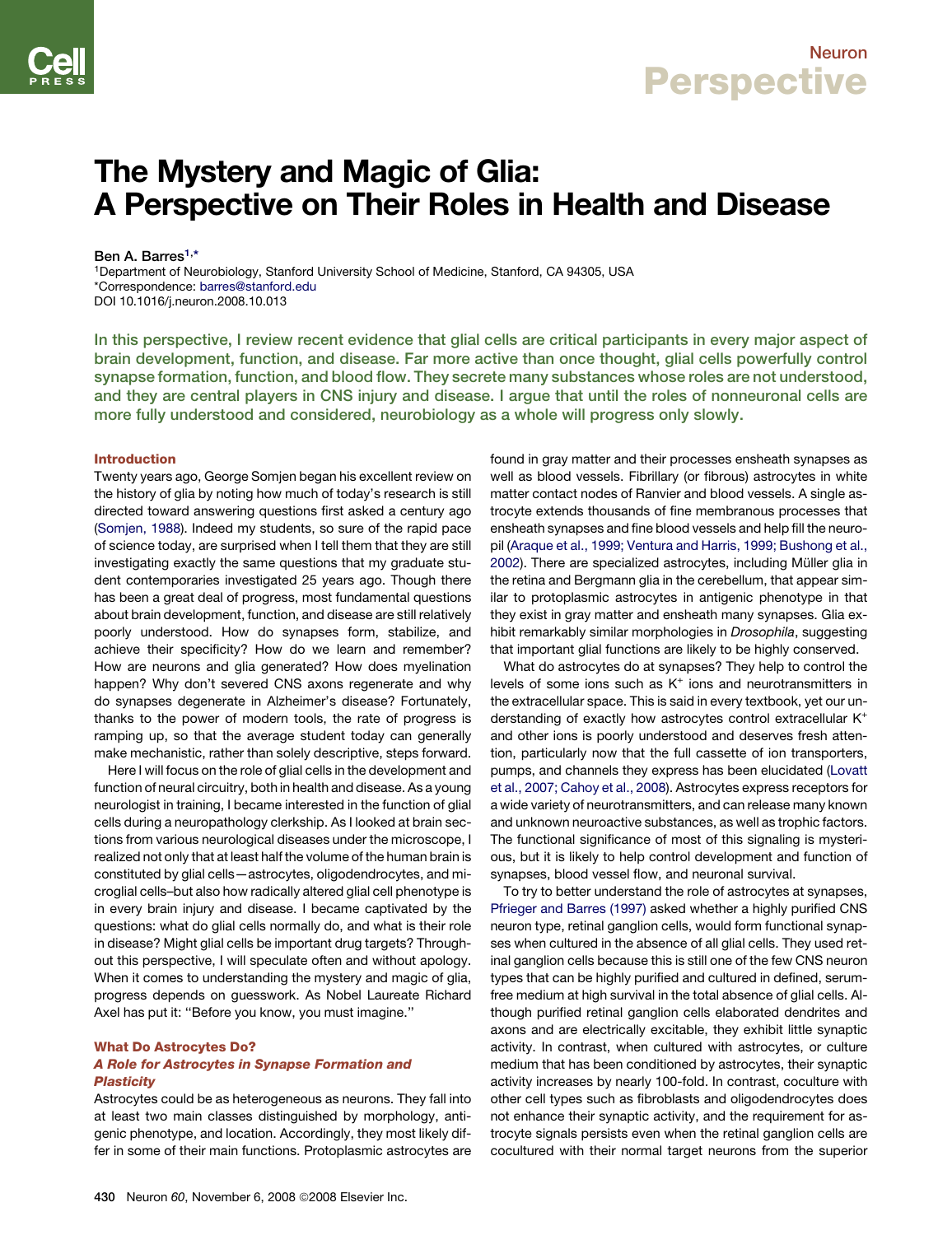# The Mystery and Magic of Glia: A Perspective on Their Roles in Health and Disease

Ben A. Barres<sup>1,\*</sup>

1Department of Neurobiology, Stanford University School of Medicine, Stanford, CA 94305, USA \*Correspondence: [barres@stanford.edu](mailto:barres@stanford.edu) DOI 10.1016/j.neuron.2008.10.013

In this perspective, I review recent evidence that glial cells are critical participants in every major aspect of brain development, function, and disease. Far more active than once thought, glial cells powerfully control synapse formation, function, and blood flow. They secrete many substances whose roles are not understood, and they are central players in CNS injury and disease. I argue that until the roles of nonneuronal cells are more fully understood and considered, neurobiology as a whole will progress only slowly.

#### Introduction

Twenty years ago, George Somjen began his excellent review on the history of glia by noting how much of today's research is still directed toward answering questions first asked a century ago ([Somjen, 1988](#page-9-0)). Indeed my students, so sure of the rapid pace of science today, are surprised when I tell them that they are still investigating exactly the same questions that my graduate student contemporaries investigated 25 years ago. Though there has been a great deal of progress, most fundamental questions about brain development, function, and disease are still relatively poorly understood. How do synapses form, stabilize, and achieve their specificity? How do we learn and remember? How are neurons and glia generated? How does myelination happen? Why don't severed CNS axons regenerate and why do synapses degenerate in Alzheimer's disease? Fortunately, thanks to the power of modern tools, the rate of progress is ramping up, so that the average student today can generally make mechanistic, rather than solely descriptive, steps forward.

Here I will focus on the role of glial cells in the development and function of neural circuitry, both in health and disease. As a young neurologist in training, I became interested in the function of glial cells during a neuropathology clerkship. As I looked at brain sections from various neurological diseases under the microscope, I realized not only that at least half the volume of the human brain is constituted by glial cells—astrocytes, oligodendrocytes, and microglial cells–but also how radically altered glial cell phenotype is in every brain injury and disease. I became captivated by the questions: what do glial cells normally do, and what is their role in disease? Might glial cells be important drug targets? Throughout this perspective, I will speculate often and without apology. When it comes to understanding the mystery and magic of glia, progress depends on guesswork. As Nobel Laureate Richard Axel has put it: ''Before you know, you must imagine.''

### What Do Astrocytes Do? A Role for Astrocytes in Synapse Formation and

### **Plasticity**

Astrocytes could be as heterogeneous as neurons. They fall into at least two main classes distinguished by morphology, antigenic phenotype, and location. Accordingly, they most likely differ in some of their main functions. Protoplasmic astrocytes are

found in gray matter and their processes ensheath synapses as well as blood vessels. Fibrillary (or fibrous) astrocytes in white matter contact nodes of Ranvier and blood vessels. A single astrocyte extends thousands of fine membranous processes that ensheath synapses and fine blood vessels and help fill the neuropil ([Araque et al., 1999; Ventura and Harris, 1999; Bushong et al.,](#page-8-0) [2002\)](#page-8-0). There are specialized astrocytes, including Müller glia in the retina and Bergmann glia in the cerebellum, that appear similar to protoplasmic astrocytes in antigenic phenotype in that they exist in gray matter and ensheath many synapses. Glia exhibit remarkably similar morphologies in *Drosophila*, suggesting that important glial functions are likely to be highly conserved.

What do astrocytes do at synapses? They help to control the levels of some ions such as  $K^+$  ions and neurotransmitters in the extracellular space. This is said in every textbook, yet our understanding of exactly how astrocytes control extracellular K+ and other ions is poorly understood and deserves fresh attention, particularly now that the full cassette of ion transporters, pumps, and channels they express has been elucidated [\(Lovatt](#page-9-0) [et al., 2007; Cahoy et al., 2008](#page-9-0)). Astrocytes express receptors for a wide variety of neurotransmitters, and can release many known and unknown neuroactive substances, as well as trophic factors. The functional significance of most of this signaling is mysterious, but it is likely to help control development and function of synapses, blood vessel flow, and neuronal survival.

To try to better understand the role of astrocytes at synapses, [Pfrieger and Barres \(1997\)](#page-9-0) asked whether a highly purified CNS neuron type, retinal ganglion cells, would form functional synapses when cultured in the absence of all glial cells. They used retinal ganglion cells because this is still one of the few CNS neuron types that can be highly purified and cultured in defined, serumfree medium at high survival in the total absence of glial cells. Although purified retinal ganglion cells elaborated dendrites and axons and are electrically excitable, they exhibit little synaptic activity. In contrast, when cultured with astrocytes, or culture medium that has been conditioned by astrocytes, their synaptic activity increases by nearly 100-fold. In contrast, coculture with other cell types such as fibroblasts and oligodendrocytes does not enhance their synaptic activity, and the requirement for astrocyte signals persists even when the retinal ganglion cells are cocultured with their normal target neurons from the superior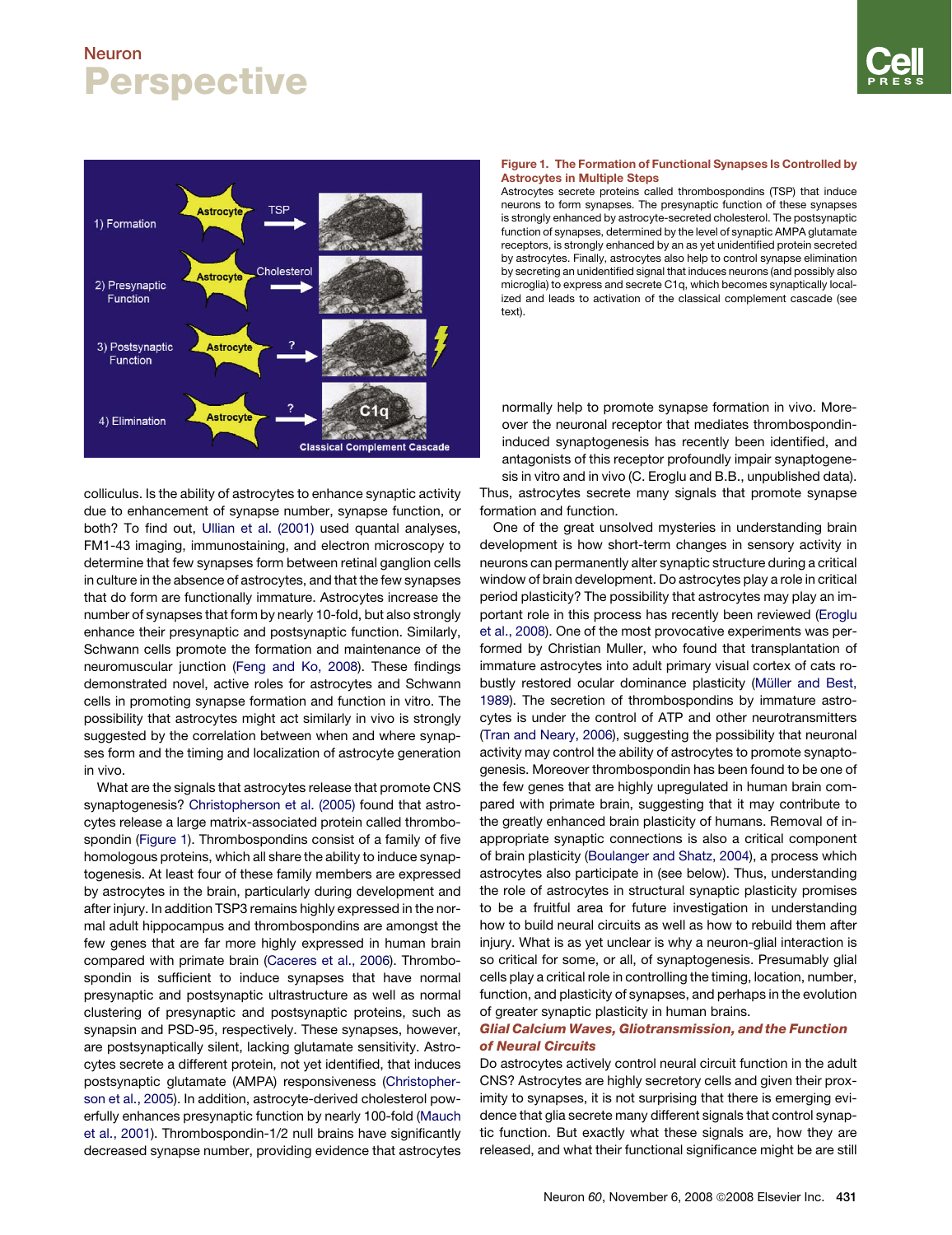

colliculus. Is the ability of astrocytes to enhance synaptic activity due to enhancement of synapse number, synapse function, or both? To find out, [Ullian et al. \(2001\)](#page-9-0) used quantal analyses, FM1-43 imaging, immunostaining, and electron microscopy to determine that few synapses form between retinal ganglion cells in culture in the absence of astrocytes, and that the few synapses that do form are functionally immature. Astrocytes increase the number of synapses that form by nearly 10-fold, but also strongly enhance their presynaptic and postsynaptic function. Similarly, Schwann cells promote the formation and maintenance of the neuromuscular junction ([Feng and Ko, 2008\)](#page-8-0). These findings demonstrated novel, active roles for astrocytes and Schwann cells in promoting synapse formation and function in vitro. The possibility that astrocytes might act similarly in vivo is strongly suggested by the correlation between when and where synapses form and the timing and localization of astrocyte generation in vivo.

What are the signals that astrocytes release that promote CNS synaptogenesis? [Christopherson et al. \(2005\)](#page-8-0) found that astrocytes release a large matrix-associated protein called thrombospondin (Figure 1). Thrombospondins consist of a family of five homologous proteins, which all share the ability to induce synaptogenesis. At least four of these family members are expressed by astrocytes in the brain, particularly during development and after injury. In addition TSP3 remains highly expressed in the normal adult hippocampus and thrombospondins are amongst the few genes that are far more highly expressed in human brain compared with primate brain [\(Caceres et al., 2006](#page-8-0)). Thrombospondin is sufficient to induce synapses that have normal presynaptic and postsynaptic ultrastructure as well as normal clustering of presynaptic and postsynaptic proteins, such as synapsin and PSD-95, respectively. These synapses, however, are postsynaptically silent, lacking glutamate sensitivity. Astrocytes secrete a different protein, not yet identified, that induces postsynaptic glutamate (AMPA) responsiveness ([Christopher](#page-8-0)[son et al., 2005](#page-8-0)). In addition, astrocyte-derived cholesterol powerfully enhances presynaptic function by nearly 100-fold [\(Mauch](#page-9-0) [et al., 2001\)](#page-9-0). Thrombospondin-1/2 null brains have significantly decreased synapse number, providing evidence that astrocytes

#### Figure 1. The Formation of Functional Synapses Is Controlled by Astrocytes in Multiple Steps

Astrocytes secrete proteins called thrombospondins (TSP) that induce neurons to form synapses. The presynaptic function of these synapses is strongly enhanced by astrocyte-secreted cholesterol. The postsynaptic function of synapses, determined by the level of synaptic AMPA glutamate receptors, is strongly enhanced by an as yet unidentified protein secreted by astrocytes. Finally, astrocytes also help to control synapse elimination by secreting an unidentified signal that induces neurons (and possibly also microglia) to express and secrete C1q, which becomes synaptically localized and leads to activation of the classical complement cascade (see text).

normally help to promote synapse formation in vivo. Moreover the neuronal receptor that mediates thrombospondininduced synaptogenesis has recently been identified, and antagonists of this receptor profoundly impair synaptogenesis in vitro and in vivo (C. Eroglu and B.B., unpublished data). Thus, astrocytes secrete many signals that promote synapse formation and function.

One of the great unsolved mysteries in understanding brain development is how short-term changes in sensory activity in neurons can permanently alter synaptic structure during a critical window of brain development. Do astrocytes play a role in critical period plasticity? The possibility that astrocytes may play an important role in this process has recently been reviewed [\(Eroglu](#page-8-0) [et al., 2008\)](#page-8-0). One of the most provocative experiments was performed by Christian Muller, who found that transplantation of immature astrocytes into adult primary visual cortex of cats robustly restored ocular dominance plasticity (Mü[ller and Best,](#page-9-0) [1989\)](#page-9-0). The secretion of thrombospondins by immature astrocytes is under the control of ATP and other neurotransmitters [\(Tran and Neary, 2006](#page-9-0)), suggesting the possibility that neuronal activity may control the ability of astrocytes to promote synaptogenesis. Moreover thrombospondin has been found to be one of the few genes that are highly upregulated in human brain compared with primate brain, suggesting that it may contribute to the greatly enhanced brain plasticity of humans. Removal of inappropriate synaptic connections is also a critical component of brain plasticity ([Boulanger and Shatz, 2004\)](#page-8-0), a process which astrocytes also participate in (see below). Thus, understanding the role of astrocytes in structural synaptic plasticity promises to be a fruitful area for future investigation in understanding how to build neural circuits as well as how to rebuild them after injury. What is as yet unclear is why a neuron-glial interaction is so critical for some, or all, of synaptogenesis. Presumably glial cells play a critical role in controlling the timing, location, number, function, and plasticity of synapses, and perhaps in the evolution of greater synaptic plasticity in human brains.

### Glial Calcium Waves, Gliotransmission, and the Function of Neural Circuits

Do astrocytes actively control neural circuit function in the adult CNS? Astrocytes are highly secretory cells and given their proximity to synapses, it is not surprising that there is emerging evidence that glia secrete many different signals that control synaptic function. But exactly what these signals are, how they are released, and what their functional significance might be are still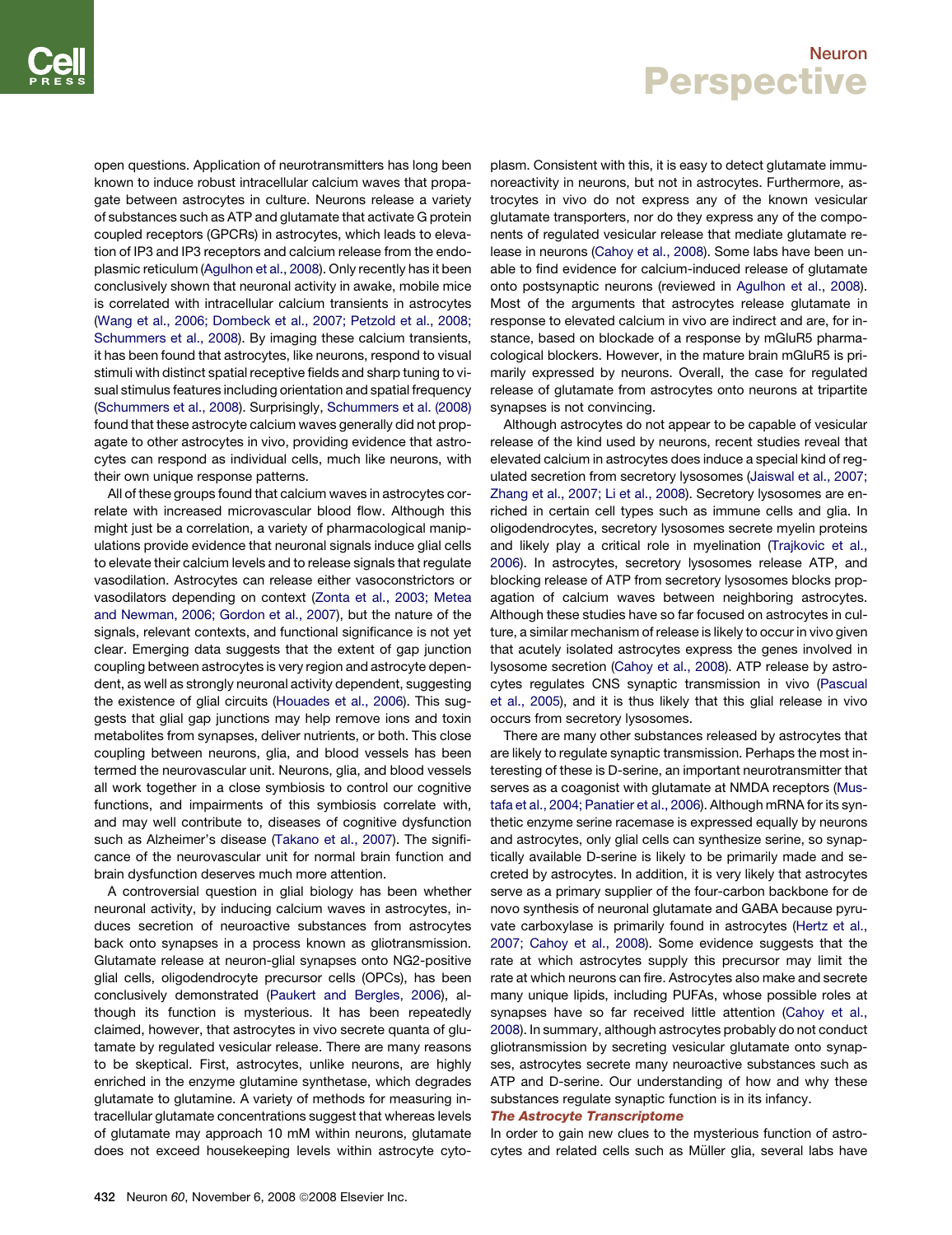open questions. Application of neurotransmitters has long been known to induce robust intracellular calcium waves that propagate between astrocytes in culture. Neurons release a variety of substances such as ATP and glutamate that activate G protein coupled receptors (GPCRs) in astrocytes, which leads to elevation of IP3 and IP3 receptors and calcium release from the endoplasmic reticulum [\(Agulhon et al., 2008](#page-8-0)). Only recently has it been conclusively shown that neuronal activity in awake, mobile mice is correlated with intracellular calcium transients in astrocytes ([Wang et al., 2006; Dombeck et al., 2007; Petzold et al., 2008;](#page-9-0) [Schummers et al., 2008\)](#page-9-0). By imaging these calcium transients, it has been found that astrocytes, like neurons, respond to visual stimuli with distinct spatial receptive fields and sharp tuning to visual stimulus features including orientation and spatial frequency ([Schummers et al., 2008](#page-9-0)). Surprisingly, [Schummers et al. \(2008\)](#page-9-0) found that these astrocyte calcium waves generally did not propagate to other astrocytes in vivo, providing evidence that astrocytes can respond as individual cells, much like neurons, with their own unique response patterns.

All of these groups found that calcium waves in astrocytes correlate with increased microvascular blood flow. Although this might just be a correlation, a variety of pharmacological manipulations provide evidence that neuronal signals induce glial cells to elevate their calcium levels and to release signals that regulate vasodilation. Astrocytes can release either vasoconstrictors or vasodilators depending on context ([Zonta et al., 2003; Metea](#page-10-0) [and Newman, 2006; Gordon et al., 2007](#page-10-0)), but the nature of the signals, relevant contexts, and functional significance is not yet clear. Emerging data suggests that the extent of gap junction coupling between astrocytes is very region and astrocyte dependent, as well as strongly neuronal activity dependent, suggesting the existence of glial circuits [\(Houades et al., 2006](#page-8-0)). This suggests that glial gap junctions may help remove ions and toxin metabolites from synapses, deliver nutrients, or both. This close coupling between neurons, glia, and blood vessels has been termed the neurovascular unit. Neurons, glia, and blood vessels all work together in a close symbiosis to control our cognitive functions, and impairments of this symbiosis correlate with, and may well contribute to, diseases of cognitive dysfunction such as Alzheimer's disease [\(Takano et al., 2007\)](#page-9-0). The significance of the neurovascular unit for normal brain function and brain dysfunction deserves much more attention.

A controversial question in glial biology has been whether neuronal activity, by inducing calcium waves in astrocytes, induces secretion of neuroactive substances from astrocytes back onto synapses in a process known as gliotransmission. Glutamate release at neuron-glial synapses onto NG2-positive glial cells, oligodendrocyte precursor cells (OPCs), has been conclusively demonstrated [\(Paukert and Bergles, 2006\)](#page-9-0), although its function is mysterious. It has been repeatedly claimed, however, that astrocytes in vivo secrete quanta of glutamate by regulated vesicular release. There are many reasons to be skeptical. First, astrocytes, unlike neurons, are highly enriched in the enzyme glutamine synthetase, which degrades glutamate to glutamine. A variety of methods for measuring intracellular glutamate concentrations suggest that whereas levels of glutamate may approach 10 mM within neurons, glutamate does not exceed housekeeping levels within astrocyte cyto-

plasm. Consistent with this, it is easy to detect glutamate immunoreactivity in neurons, but not in astrocytes. Furthermore, astrocytes in vivo do not express any of the known vesicular glutamate transporters, nor do they express any of the components of regulated vesicular release that mediate glutamate release in neurons [\(Cahoy et al., 2008\)](#page-8-0). Some labs have been unable to find evidence for calcium-induced release of glutamate onto postsynaptic neurons (reviewed in [Agulhon et al., 2008](#page-8-0)). Most of the arguments that astrocytes release glutamate in response to elevated calcium in vivo are indirect and are, for instance, based on blockade of a response by mGluR5 pharmacological blockers. However, in the mature brain mGluR5 is primarily expressed by neurons. Overall, the case for regulated release of glutamate from astrocytes onto neurons at tripartite synapses is not convincing.

Although astrocytes do not appear to be capable of vesicular release of the kind used by neurons, recent studies reveal that elevated calcium in astrocytes does induce a special kind of regulated secretion from secretory lysosomes ([Jaiswal et al., 2007;](#page-8-0) [Zhang et al., 2007; Li et al., 2008](#page-8-0)). Secretory lysosomes are enriched in certain cell types such as immune cells and glia. In oligodendrocytes, secretory lysosomes secrete myelin proteins and likely play a critical role in myelination ([Trajkovic et al.,](#page-9-0) [2006\)](#page-9-0). In astrocytes, secretory lysosomes release ATP, and blocking release of ATP from secretory lysosomes blocks propagation of calcium waves between neighboring astrocytes. Although these studies have so far focused on astrocytes in culture, a similar mechanism of release is likely to occur in vivo given that acutely isolated astrocytes express the genes involved in lysosome secretion ([Cahoy et al., 2008](#page-8-0)). ATP release by astrocytes regulates CNS synaptic transmission in vivo ([Pascual](#page-9-0) [et al., 2005\)](#page-9-0), and it is thus likely that this glial release in vivo occurs from secretory lysosomes.

There are many other substances released by astrocytes that are likely to regulate synaptic transmission. Perhaps the most interesting of these is D-serine, an important neurotransmitter that serves as a coagonist with glutamate at NMDA receptors [\(Mus](#page-9-0)[tafa et al., 2004; Panatier et al., 2006\)](#page-9-0). Although mRNA for its synthetic enzyme serine racemase is expressed equally by neurons and astrocytes, only glial cells can synthesize serine, so synaptically available D-serine is likely to be primarily made and secreted by astrocytes. In addition, it is very likely that astrocytes serve as a primary supplier of the four-carbon backbone for de novo synthesis of neuronal glutamate and GABA because pyruvate carboxylase is primarily found in astrocytes ([Hertz et al.,](#page-8-0) [2007; Cahoy et al., 2008\)](#page-8-0). Some evidence suggests that the rate at which astrocytes supply this precursor may limit the rate at which neurons can fire. Astrocytes also make and secrete many unique lipids, including PUFAs, whose possible roles at synapses have so far received little attention [\(Cahoy et al.,](#page-8-0) [2008\)](#page-8-0). In summary, although astrocytes probably do not conduct gliotransmission by secreting vesicular glutamate onto synapses, astrocytes secrete many neuroactive substances such as ATP and D-serine. Our understanding of how and why these substances regulate synaptic function is in its infancy.

#### The Astrocyte Transcriptome

In order to gain new clues to the mysterious function of astrocytes and related cells such as Müller glia, several labs have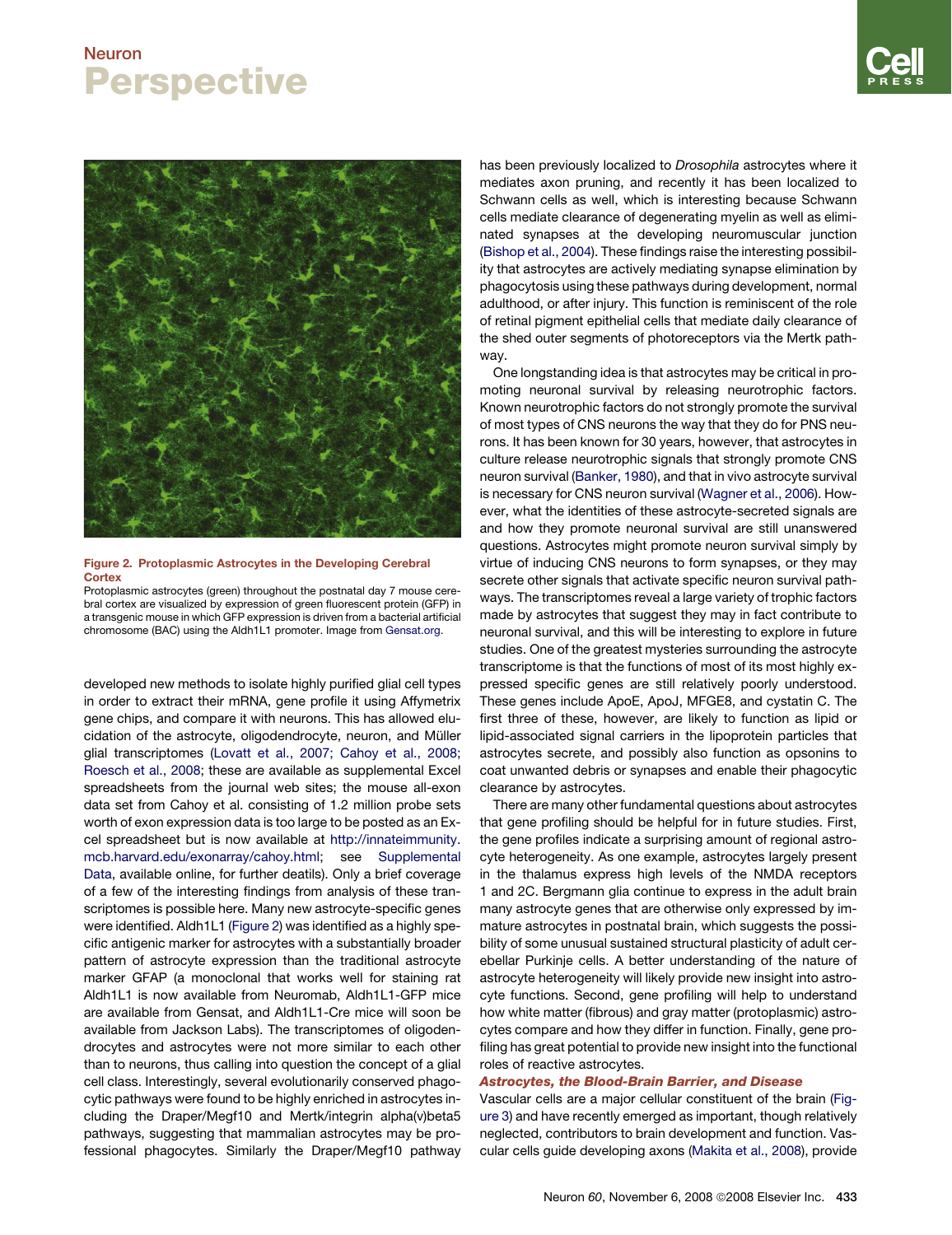

#### Figure 2. Protoplasmic Astrocytes in the Developing Cerebral Cortex

Protoplasmic astrocytes (green) throughout the postnatal day 7 mouse cerebral cortex are visualized by expression of green fluorescent protein (GFP) in a transgenic mouse in which GFP expression is driven from a bacterial artificial chromosome (BAC) using the Aldh1L1 promoter. Image from [Gensat.org](http://Gensat.org).

developed new methods to isolate highly purified glial cell types in order to extract their mRNA, gene profile it using Affymetrix gene chips, and compare it with neurons. This has allowed elucidation of the astrocyte, oligodendrocyte, neuron, and Müller glial transcriptomes ([Lovatt et al., 2007; Cahoy et al., 2008;](#page-9-0) [Roesch et al., 2008](#page-9-0); these are available as supplemental Excel spreadsheets from the journal web sites; the mouse all-exon data set from Cahoy et al. consisting of 1.2 million probe sets worth of exon expression data is too large to be posted as an Excel spreadsheet but is now available at [http://innateimmunity.](http://innateimmunity.mcb.harvard.edu/exonarray/cahoy.html) [mcb.harvard.edu/exonarray/cahoy.html;](http://innateimmunity.mcb.harvard.edu/exonarray/cahoy.html) see [Supplemental](#page-8-0) [Data,](#page-8-0) available online, for further deatils). Only a brief coverage of a few of the interesting findings from analysis of these transcriptomes is possible here. Many new astrocyte-specific genes were identified. Aldh1L1 (Figure 2) was identified as a highly specific antigenic marker for astrocytes with a substantially broader pattern of astrocyte expression than the traditional astrocyte marker GFAP (a monoclonal that works well for staining rat Aldh1L1 is now available from Neuromab, Aldh1L1-GFP mice are available from Gensat, and Aldh1L1-Cre mice will soon be available from Jackson Labs). The transcriptomes of oligodendrocytes and astrocytes were not more similar to each other than to neurons, thus calling into question the concept of a glial cell class. Interestingly, several evolutionarily conserved phagocytic pathways were found to be highly enriched in astrocytes including the Draper/Megf10 and Mertk/integrin alpha(v)beta5 pathways, suggesting that mammalian astrocytes may be professional phagocytes. Similarly the Draper/Megf10 pathway

has been previously localized to *Drosophila* astrocytes where it mediates axon pruning, and recently it has been localized to Schwann cells as well, which is interesting because Schwann cells mediate clearance of degenerating myelin as well as eliminated synapses at the developing neuromuscular junction [\(Bishop et al., 2004\)](#page-8-0). These findings raise the interesting possibility that astrocytes are actively mediating synapse elimination by phagocytosis using these pathways during development, normal adulthood, or after injury. This function is reminiscent of the role of retinal pigment epithelial cells that mediate daily clearance of the shed outer segments of photoreceptors via the Mertk pathway.

One longstanding idea is that astrocytes may be critical in promoting neuronal survival by releasing neurotrophic factors. Known neurotrophic factors do not strongly promote the survival of most types of CNS neurons the way that they do for PNS neurons. It has been known for 30 years, however, that astrocytes in culture release neurotrophic signals that strongly promote CNS neuron survival ([Banker, 1980](#page-8-0)), and that in vivo astrocyte survival is necessary for CNS neuron survival [\(Wagner et al., 2006](#page-9-0)). However, what the identities of these astrocyte-secreted signals are and how they promote neuronal survival are still unanswered questions. Astrocytes might promote neuron survival simply by virtue of inducing CNS neurons to form synapses, or they may secrete other signals that activate specific neuron survival pathways. The transcriptomes reveal a large variety of trophic factors made by astrocytes that suggest they may in fact contribute to neuronal survival, and this will be interesting to explore in future studies. One of the greatest mysteries surrounding the astrocyte transcriptome is that the functions of most of its most highly expressed specific genes are still relatively poorly understood. These genes include ApoE, ApoJ, MFGE8, and cystatin C. The first three of these, however, are likely to function as lipid or lipid-associated signal carriers in the lipoprotein particles that astrocytes secrete, and possibly also function as opsonins to coat unwanted debris or synapses and enable their phagocytic clearance by astrocytes.

There are many other fundamental questions about astrocytes that gene profiling should be helpful for in future studies. First, the gene profiles indicate a surprising amount of regional astrocyte heterogeneity. As one example, astrocytes largely present in the thalamus express high levels of the NMDA receptors 1 and 2C. Bergmann glia continue to express in the adult brain many astrocyte genes that are otherwise only expressed by immature astrocytes in postnatal brain, which suggests the possibility of some unusual sustained structural plasticity of adult cerebellar Purkinje cells. A better understanding of the nature of astrocyte heterogeneity will likely provide new insight into astrocyte functions. Second, gene profiling will help to understand how white matter (fibrous) and gray matter (protoplasmic) astrocytes compare and how they differ in function. Finally, gene profiling has great potential to provide new insight into the functional roles of reactive astrocytes.

### Astrocytes, the Blood-Brain Barrier, and Disease

Vascular cells are a major cellular constituent of the brain [\(Fig](#page-4-0)[ure 3\)](#page-4-0) and have recently emerged as important, though relatively neglected, contributors to brain development and function. Vascular cells guide developing axons ([Makita et al., 2008](#page-9-0)), provide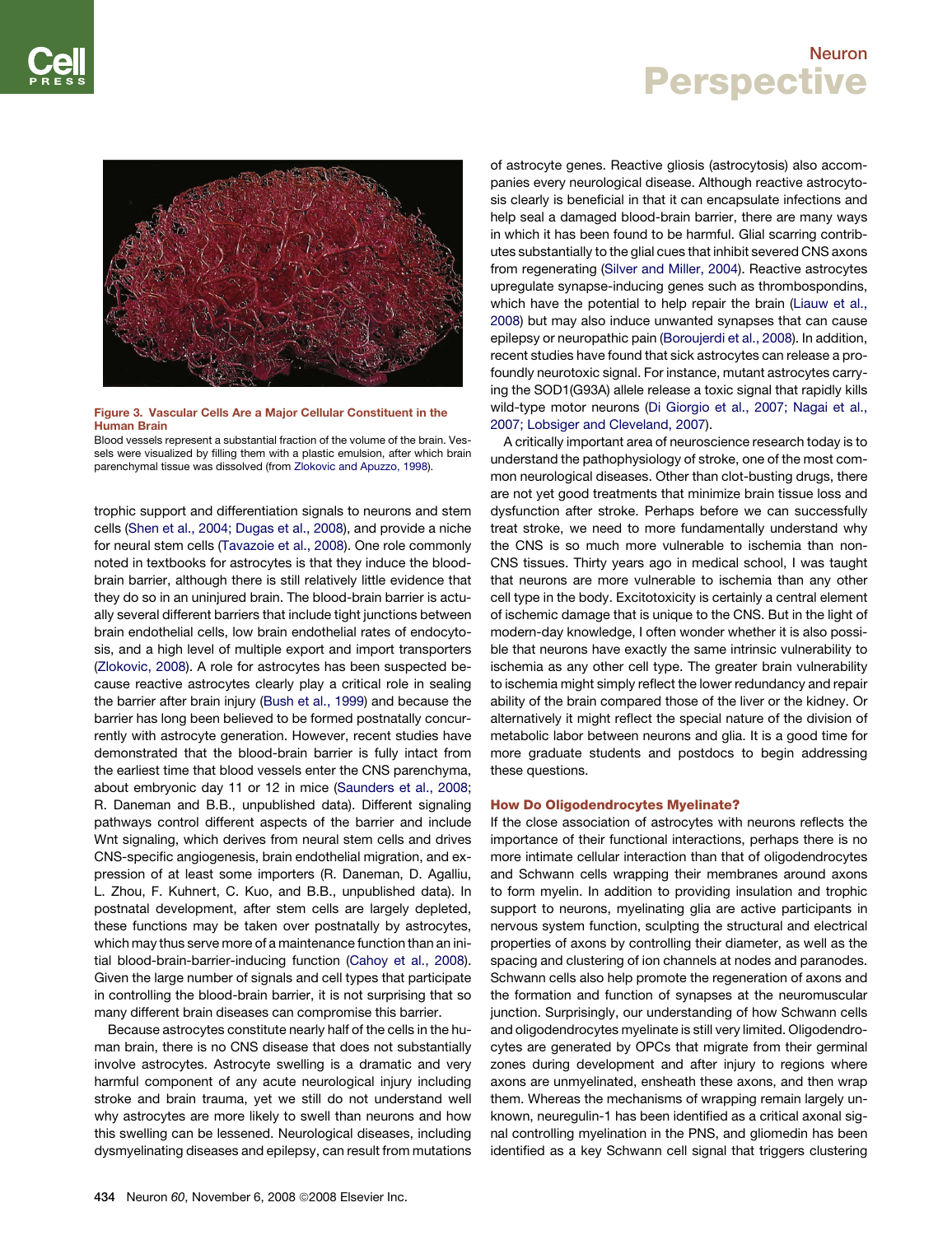<span id="page-4-0"></span>

Figure 3. Vascular Cells Are a Major Cellular Constituent in the Human Brain

Blood vessels represent a substantial fraction of the volume of the brain. Vessels were visualized by filling them with a plastic emulsion, after which brain parenchymal tissue was dissolved (from [Zlokovic and Apuzzo, 1998](#page-10-0)).

trophic support and differentiation signals to neurons and stem cells [\(Shen et al., 2004; Dugas et al., 2008\)](#page-9-0), and provide a niche for neural stem cells [\(Tavazoie et al., 2008](#page-9-0)). One role commonly noted in textbooks for astrocytes is that they induce the bloodbrain barrier, although there is still relatively little evidence that they do so in an uninjured brain. The blood-brain barrier is actually several different barriers that include tight junctions between brain endothelial cells, low brain endothelial rates of endocytosis, and a high level of multiple export and import transporters ([Zlokovic, 2008\)](#page-10-0). A role for astrocytes has been suspected because reactive astrocytes clearly play a critical role in sealing the barrier after brain injury ([Bush et al., 1999\)](#page-8-0) and because the barrier has long been believed to be formed postnatally concurrently with astrocyte generation. However, recent studies have demonstrated that the blood-brain barrier is fully intact from the earliest time that blood vessels enter the CNS parenchyma, about embryonic day 11 or 12 in mice ([Saunders et al., 2008;](#page-9-0) R. Daneman and B.B., unpublished data). Different signaling pathways control different aspects of the barrier and include Wnt signaling, which derives from neural stem cells and drives CNS-specific angiogenesis, brain endothelial migration, and expression of at least some importers (R. Daneman, D. Agalliu, L. Zhou, F. Kuhnert, C. Kuo, and B.B., unpublished data). In postnatal development, after stem cells are largely depleted, these functions may be taken over postnatally by astrocytes, which may thus serve more of a maintenance function than an initial blood-brain-barrier-inducing function ([Cahoy et al., 2008](#page-8-0)). Given the large number of signals and cell types that participate in controlling the blood-brain barrier, it is not surprising that so many different brain diseases can compromise this barrier.

Because astrocytes constitute nearly half of the cells in the human brain, there is no CNS disease that does not substantially involve astrocytes. Astrocyte swelling is a dramatic and very harmful component of any acute neurological injury including stroke and brain trauma, yet we still do not understand well why astrocytes are more likely to swell than neurons and how this swelling can be lessened. Neurological diseases, including dysmyelinating diseases and epilepsy, can result from mutations of astrocyte genes. Reactive gliosis (astrocytosis) also accompanies every neurological disease. Although reactive astrocytosis clearly is beneficial in that it can encapsulate infections and help seal a damaged blood-brain barrier, there are many ways in which it has been found to be harmful. Glial scarring contributes substantially to the glial cues that inhibit severed CNS axons from regenerating [\(Silver and Miller, 2004\)](#page-9-0). Reactive astrocytes upregulate synapse-inducing genes such as thrombospondins, which have the potential to help repair the brain ([Liauw et al.,](#page-9-0) [2008\)](#page-9-0) but may also induce unwanted synapses that can cause epilepsy or neuropathic pain [\(Boroujerdi et al., 2008](#page-8-0)). In addition, recent studies have found that sick astrocytes can release a profoundly neurotoxic signal. For instance, mutant astrocytes carrying the SOD1(G93A) allele release a toxic signal that rapidly kills wild-type motor neurons [\(Di Giorgio et al., 2007; Nagai et al.,](#page-8-0) [2007; Lobsiger and Cleveland, 2007](#page-8-0)).

A critically important area of neuroscience research today is to understand the pathophysiology of stroke, one of the most common neurological diseases. Other than clot-busting drugs, there are not yet good treatments that minimize brain tissue loss and dysfunction after stroke. Perhaps before we can successfully treat stroke, we need to more fundamentally understand why the CNS is so much more vulnerable to ischemia than non-CNS tissues. Thirty years ago in medical school, I was taught that neurons are more vulnerable to ischemia than any other cell type in the body. Excitotoxicity is certainly a central element of ischemic damage that is unique to the CNS. But in the light of modern-day knowledge, I often wonder whether it is also possible that neurons have exactly the same intrinsic vulnerability to ischemia as any other cell type. The greater brain vulnerability to ischemia might simply reflect the lower redundancy and repair ability of the brain compared those of the liver or the kidney. Or alternatively it might reflect the special nature of the division of metabolic labor between neurons and glia. It is a good time for more graduate students and postdocs to begin addressing these questions.

#### How Do Oligodendrocytes Myelinate?

If the close association of astrocytes with neurons reflects the importance of their functional interactions, perhaps there is no more intimate cellular interaction than that of oligodendrocytes and Schwann cells wrapping their membranes around axons to form myelin. In addition to providing insulation and trophic support to neurons, myelinating glia are active participants in nervous system function, sculpting the structural and electrical properties of axons by controlling their diameter, as well as the spacing and clustering of ion channels at nodes and paranodes. Schwann cells also help promote the regeneration of axons and the formation and function of synapses at the neuromuscular junction. Surprisingly, our understanding of how Schwann cells and oligodendrocytes myelinate is still very limited. Oligodendrocytes are generated by OPCs that migrate from their germinal zones during development and after injury to regions where axons are unmyelinated, ensheath these axons, and then wrap them. Whereas the mechanisms of wrapping remain largely unknown, neuregulin-1 has been identified as a critical axonal signal controlling myelination in the PNS, and gliomedin has been identified as a key Schwann cell signal that triggers clustering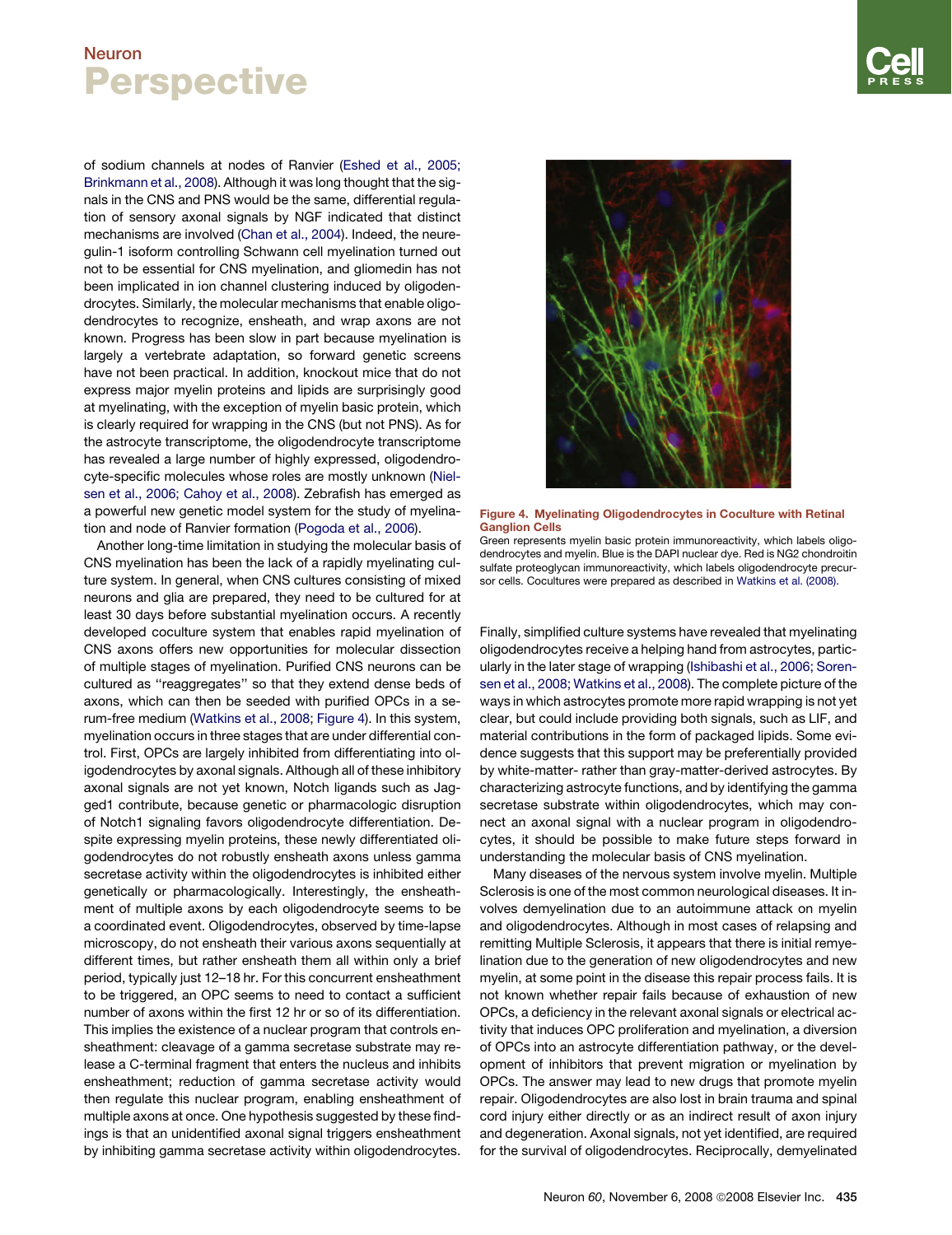of sodium channels at nodes of Ranvier ([Eshed et al., 2005;](#page-8-0) [Brinkmann et al., 2008\)](#page-8-0). Although it was long thought that the signals in the CNS and PNS would be the same, differential regulation of sensory axonal signals by NGF indicated that distinct mechanisms are involved ([Chan et al., 2004](#page-8-0)). Indeed, the neuregulin-1 isoform controlling Schwann cell myelination turned out not to be essential for CNS myelination, and gliomedin has not been implicated in ion channel clustering induced by oligodendrocytes. Similarly, the molecular mechanisms that enable oligodendrocytes to recognize, ensheath, and wrap axons are not known. Progress has been slow in part because myelination is largely a vertebrate adaptation, so forward genetic screens have not been practical. In addition, knockout mice that do not express major myelin proteins and lipids are surprisingly good at myelinating, with the exception of myelin basic protein, which is clearly required for wrapping in the CNS (but not PNS). As for the astrocyte transcriptome, the oligodendrocyte transcriptome has revealed a large number of highly expressed, oligodendrocyte-specific molecules whose roles are mostly unknown ([Niel](#page-9-0)[sen et al., 2006; Cahoy et al., 2008\)](#page-9-0). Zebrafish has emerged as a powerful new genetic model system for the study of myelination and node of Ranvier formation ([Pogoda et al., 2006\)](#page-9-0).

Another long-time limitation in studying the molecular basis of CNS myelination has been the lack of a rapidly myelinating culture system. In general, when CNS cultures consisting of mixed neurons and glia are prepared, they need to be cultured for at least 30 days before substantial myelination occurs. A recently developed coculture system that enables rapid myelination of CNS axons offers new opportunities for molecular dissection of multiple stages of myelination. Purified CNS neurons can be cultured as ''reaggregates'' so that they extend dense beds of axons, which can then be seeded with purified OPCs in a serum-free medium ([Watkins et al., 2008](#page-9-0); Figure 4). In this system, myelination occurs in three stages that are under differential control. First, OPCs are largely inhibited from differentiating into oligodendrocytes by axonal signals. Although all of these inhibitory axonal signals are not yet known, Notch ligands such as Jagged1 contribute, because genetic or pharmacologic disruption of Notch1 signaling favors oligodendrocyte differentiation. Despite expressing myelin proteins, these newly differentiated oligodendrocytes do not robustly ensheath axons unless gamma secretase activity within the oligodendrocytes is inhibited either genetically or pharmacologically. Interestingly, the ensheathment of multiple axons by each oligodendrocyte seems to be a coordinated event. Oligodendrocytes, observed by time-lapse microscopy, do not ensheath their various axons sequentially at different times, but rather ensheath them all within only a brief period, typically just 12–18 hr. For this concurrent ensheathment to be triggered, an OPC seems to need to contact a sufficient number of axons within the first 12 hr or so of its differentiation. This implies the existence of a nuclear program that controls ensheathment: cleavage of a gamma secretase substrate may release a C-terminal fragment that enters the nucleus and inhibits ensheathment; reduction of gamma secretase activity would then regulate this nuclear program, enabling ensheathment of multiple axons at once. One hypothesis suggested by these findings is that an unidentified axonal signal triggers ensheathment by inhibiting gamma secretase activity within oligodendrocytes.



Figure 4. Myelinating Oligodendrocytes in Coculture with Retinal Ganglion Cells

Green represents myelin basic protein immunoreactivity, which labels oligodendrocytes and myelin. Blue is the DAPI nuclear dye. Red is NG2 chondroitin sulfate proteoglycan immunoreactivity, which labels oligodendrocyte precursor cells. Cocultures were prepared as described in [Watkins et al. \(2008\)](#page-9-0).

Finally, simplified culture systems have revealed that myelinating oligodendrocytes receive a helping hand from astrocytes, particularly in the later stage of wrapping [\(Ishibashi et al., 2006; Soren](#page-8-0)[sen et al., 2008; Watkins et al., 2008\)](#page-8-0). The complete picture of the ways in which astrocytes promote more rapid wrapping is not yet clear, but could include providing both signals, such as LIF, and material contributions in the form of packaged lipids. Some evidence suggests that this support may be preferentially provided by white-matter- rather than gray-matter-derived astrocytes. By characterizing astrocyte functions, and by identifying the gamma secretase substrate within oligodendrocytes, which may connect an axonal signal with a nuclear program in oligodendrocytes, it should be possible to make future steps forward in understanding the molecular basis of CNS myelination.

Many diseases of the nervous system involve myelin. Multiple Sclerosis is one of the most common neurological diseases. It involves demyelination due to an autoimmune attack on myelin and oligodendrocytes. Although in most cases of relapsing and remitting Multiple Sclerosis, it appears that there is initial remyelination due to the generation of new oligodendrocytes and new myelin, at some point in the disease this repair process fails. It is not known whether repair fails because of exhaustion of new OPCs, a deficiency in the relevant axonal signals or electrical activity that induces OPC proliferation and myelination, a diversion of OPCs into an astrocyte differentiation pathway, or the development of inhibitors that prevent migration or myelination by OPCs. The answer may lead to new drugs that promote myelin repair. Oligodendrocytes are also lost in brain trauma and spinal cord injury either directly or as an indirect result of axon injury and degeneration. Axonal signals, not yet identified, are required for the survival of oligodendrocytes. Reciprocally, demyelinated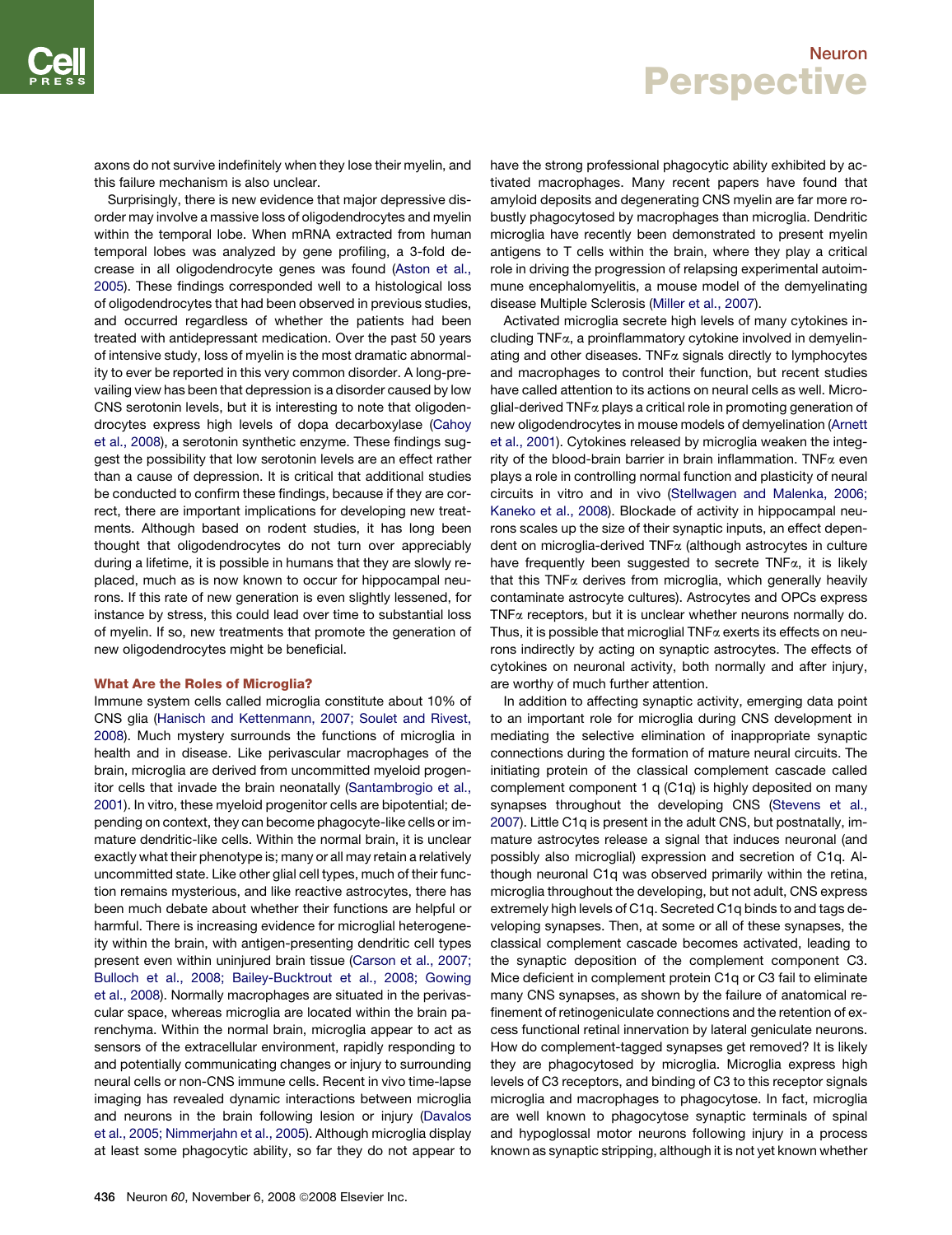axons do not survive indefinitely when they lose their myelin, and this failure mechanism is also unclear.

Surprisingly, there is new evidence that major depressive disorder may involve a massive loss of oligodendrocytes and myelin within the temporal lobe. When mRNA extracted from human temporal lobes was analyzed by gene profiling, a 3-fold decrease in all oligodendrocyte genes was found ([Aston et al.,](#page-8-0) [2005](#page-8-0)). These findings corresponded well to a histological loss of oligodendrocytes that had been observed in previous studies, and occurred regardless of whether the patients had been treated with antidepressant medication. Over the past 50 years of intensive study, loss of myelin is the most dramatic abnormality to ever be reported in this very common disorder. A long-prevailing view has been that depression is a disorder caused by low CNS serotonin levels, but it is interesting to note that oligodendrocytes express high levels of dopa decarboxylase [\(Cahoy](#page-8-0) [et al., 2008\)](#page-8-0), a serotonin synthetic enzyme. These findings suggest the possibility that low serotonin levels are an effect rather than a cause of depression. It is critical that additional studies be conducted to confirm these findings, because if they are correct, there are important implications for developing new treatments. Although based on rodent studies, it has long been thought that oligodendrocytes do not turn over appreciably during a lifetime, it is possible in humans that they are slowly replaced, much as is now known to occur for hippocampal neurons. If this rate of new generation is even slightly lessened, for instance by stress, this could lead over time to substantial loss of myelin. If so, new treatments that promote the generation of new oligodendrocytes might be beneficial.

#### What Are the Roles of Microglia?

Immune system cells called microglia constitute about 10% of CNS glia ([Hanisch and Kettenmann, 2007; Soulet and Rivest,](#page-8-0) [2008](#page-8-0)). Much mystery surrounds the functions of microglia in health and in disease. Like perivascular macrophages of the brain, microglia are derived from uncommitted myeloid progenitor cells that invade the brain neonatally [\(Santambrogio et al.,](#page-9-0) [2001](#page-9-0)). In vitro, these myeloid progenitor cells are bipotential; depending on context, they can become phagocyte-like cells or immature dendritic-like cells. Within the normal brain, it is unclear exactly what their phenotype is; many or all may retain a relatively uncommitted state. Like other glial cell types, much of their function remains mysterious, and like reactive astrocytes, there has been much debate about whether their functions are helpful or harmful. There is increasing evidence for microglial heterogeneity within the brain, with antigen-presenting dendritic cell types present even within uninjured brain tissue ([Carson et al., 2007;](#page-8-0) [Bulloch et al., 2008; Bailey-Bucktrout et al., 2008; Gowing](#page-8-0) [et al., 2008](#page-8-0)). Normally macrophages are situated in the perivascular space, whereas microglia are located within the brain parenchyma. Within the normal brain, microglia appear to act as sensors of the extracellular environment, rapidly responding to and potentially communicating changes or injury to surrounding neural cells or non-CNS immune cells. Recent in vivo time-lapse imaging has revealed dynamic interactions between microglia and neurons in the brain following lesion or injury ([Davalos](#page-8-0) [et al., 2005; Nimmerjahn et al., 2005\)](#page-8-0). Although microglia display at least some phagocytic ability, so far they do not appear to

have the strong professional phagocytic ability exhibited by activated macrophages. Many recent papers have found that amyloid deposits and degenerating CNS myelin are far more robustly phagocytosed by macrophages than microglia. Dendritic microglia have recently been demonstrated to present myelin antigens to T cells within the brain, where they play a critical role in driving the progression of relapsing experimental autoimmune encephalomyelitis, a mouse model of the demyelinating disease Multiple Sclerosis ([Miller et al., 2007](#page-9-0)).

Activated microglia secrete high levels of many cytokines including TNFa, a proinflammatory cytokine involved in demyelinating and other diseases. TNF $\alpha$  signals directly to lymphocytes and macrophages to control their function, but recent studies have called attention to its actions on neural cells as well. Microglial-derived  $TNF\alpha$  plays a critical role in promoting generation of new oligodendrocytes in mouse models of demyelination [\(Arnett](#page-8-0) [et al., 2001\)](#page-8-0). Cytokines released by microglia weaken the integrity of the blood-brain barrier in brain inflammation. TNFa even plays a role in controlling normal function and plasticity of neural circuits in vitro and in vivo [\(Stellwagen and Malenka, 2006;](#page-9-0) [Kaneko et al., 2008](#page-9-0)). Blockade of activity in hippocampal neurons scales up the size of their synaptic inputs, an effect dependent on microglia-derived  $TNF\alpha$  (although astrocytes in culture have frequently been suggested to secrete  $TNFx$ , it is likely that this  $TNF\alpha$  derives from microglia, which generally heavily contaminate astrocyte cultures). Astrocytes and OPCs express TNFa receptors, but it is unclear whether neurons normally do. Thus, it is possible that microglial  $TNF\alpha$  exerts its effects on neurons indirectly by acting on synaptic astrocytes. The effects of cytokines on neuronal activity, both normally and after injury, are worthy of much further attention.

In addition to affecting synaptic activity, emerging data point to an important role for microglia during CNS development in mediating the selective elimination of inappropriate synaptic connections during the formation of mature neural circuits. The initiating protein of the classical complement cascade called complement component 1 q (C1q) is highly deposited on many synapses throughout the developing CNS ([Stevens et al.,](#page-9-0) [2007\)](#page-9-0). Little C1q is present in the adult CNS, but postnatally, immature astrocytes release a signal that induces neuronal (and possibly also microglial) expression and secretion of C1q. Although neuronal C1q was observed primarily within the retina, microglia throughout the developing, but not adult, CNS express extremely high levels of C1q. Secreted C1q binds to and tags developing synapses. Then, at some or all of these synapses, the classical complement cascade becomes activated, leading to the synaptic deposition of the complement component C3. Mice deficient in complement protein C1q or C3 fail to eliminate many CNS synapses, as shown by the failure of anatomical refinement of retinogeniculate connections and the retention of excess functional retinal innervation by lateral geniculate neurons. How do complement-tagged synapses get removed? It is likely they are phagocytosed by microglia. Microglia express high levels of C3 receptors, and binding of C3 to this receptor signals microglia and macrophages to phagocytose. In fact, microglia are well known to phagocytose synaptic terminals of spinal and hypoglossal motor neurons following injury in a process known as synaptic stripping, although it is not yet known whether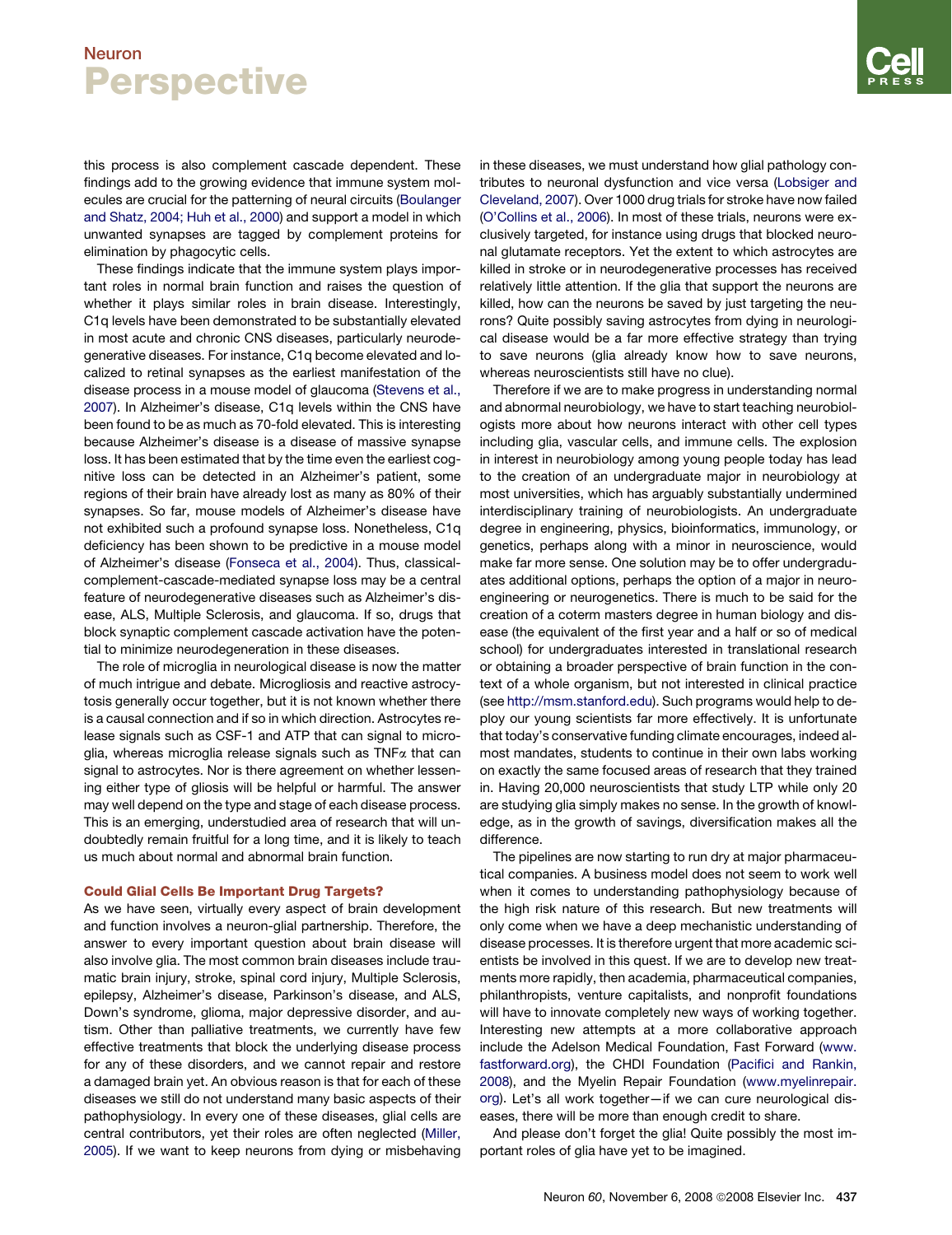this process is also complement cascade dependent. These findings add to the growing evidence that immune system molecules are crucial for the patterning of neural circuits [\(Boulanger](#page-8-0) [and Shatz, 2004; Huh et al., 2000](#page-8-0)) and support a model in which unwanted synapses are tagged by complement proteins for elimination by phagocytic cells.

These findings indicate that the immune system plays important roles in normal brain function and raises the question of whether it plays similar roles in brain disease. Interestingly, C1q levels have been demonstrated to be substantially elevated in most acute and chronic CNS diseases, particularly neurodegenerative diseases. For instance, C1q become elevated and localized to retinal synapses as the earliest manifestation of the disease process in a mouse model of glaucoma ([Stevens et al.,](#page-9-0) [2007\)](#page-9-0). In Alzheimer's disease, C1q levels within the CNS have been found to be as much as 70-fold elevated. This is interesting because Alzheimer's disease is a disease of massive synapse loss. It has been estimated that by the time even the earliest cognitive loss can be detected in an Alzheimer's patient, some regions of their brain have already lost as many as 80% of their synapses. So far, mouse models of Alzheimer's disease have not exhibited such a profound synapse loss. Nonetheless, C1q deficiency has been shown to be predictive in a mouse model of Alzheimer's disease [\(Fonseca et al., 2004\)](#page-8-0). Thus, classicalcomplement-cascade-mediated synapse loss may be a central feature of neurodegenerative diseases such as Alzheimer's disease, ALS, Multiple Sclerosis, and glaucoma. If so, drugs that block synaptic complement cascade activation have the potential to minimize neurodegeneration in these diseases.

The role of microglia in neurological disease is now the matter of much intrigue and debate. Microgliosis and reactive astrocytosis generally occur together, but it is not known whether there is a causal connection and if so in which direction. Astrocytes release signals such as CSF-1 and ATP that can signal to microglia, whereas microglia release signals such as  $TNFx$  that can signal to astrocytes. Nor is there agreement on whether lessening either type of gliosis will be helpful or harmful. The answer may well depend on the type and stage of each disease process. This is an emerging, understudied area of research that will undoubtedly remain fruitful for a long time, and it is likely to teach us much about normal and abnormal brain function.

#### Could Glial Cells Be Important Drug Targets?

As we have seen, virtually every aspect of brain development and function involves a neuron-glial partnership. Therefore, the answer to every important question about brain disease will also involve glia. The most common brain diseases include traumatic brain injury, stroke, spinal cord injury, Multiple Sclerosis, epilepsy, Alzheimer's disease, Parkinson's disease, and ALS, Down's syndrome, glioma, major depressive disorder, and autism. Other than palliative treatments, we currently have few effective treatments that block the underlying disease process for any of these disorders, and we cannot repair and restore a damaged brain yet. An obvious reason is that for each of these diseases we still do not understand many basic aspects of their pathophysiology. In every one of these diseases, glial cells are central contributors, yet their roles are often neglected [\(Miller,](#page-9-0) [2005\)](#page-9-0). If we want to keep neurons from dying or misbehaving in these diseases, we must understand how glial pathology contributes to neuronal dysfunction and vice versa ([Lobsiger and](#page-9-0) [Cleveland, 2007](#page-9-0)). Over 1000 drug trials for stroke have now failed [\(O'Collins et al., 2006\)](#page-9-0). In most of these trials, neurons were exclusively targeted, for instance using drugs that blocked neuronal glutamate receptors. Yet the extent to which astrocytes are killed in stroke or in neurodegenerative processes has received relatively little attention. If the glia that support the neurons are killed, how can the neurons be saved by just targeting the neurons? Quite possibly saving astrocytes from dying in neurological disease would be a far more effective strategy than trying to save neurons (glia already know how to save neurons, whereas neuroscientists still have no clue).

Therefore if we are to make progress in understanding normal and abnormal neurobiology, we have to start teaching neurobiologists more about how neurons interact with other cell types including glia, vascular cells, and immune cells. The explosion in interest in neurobiology among young people today has lead to the creation of an undergraduate major in neurobiology at most universities, which has arguably substantially undermined interdisciplinary training of neurobiologists. An undergraduate degree in engineering, physics, bioinformatics, immunology, or genetics, perhaps along with a minor in neuroscience, would make far more sense. One solution may be to offer undergraduates additional options, perhaps the option of a major in neuroengineering or neurogenetics. There is much to be said for the creation of a coterm masters degree in human biology and disease (the equivalent of the first year and a half or so of medical school) for undergraduates interested in translational research or obtaining a broader perspective of brain function in the context of a whole organism, but not interested in clinical practice (see [http://msm.stanford.edu\)](http://msm.stanford.edu). Such programs would help to deploy our young scientists far more effectively. It is unfortunate that today's conservative funding climate encourages, indeed almost mandates, students to continue in their own labs working on exactly the same focused areas of research that they trained in. Having 20,000 neuroscientists that study LTP while only 20 are studying glia simply makes no sense. In the growth of knowledge, as in the growth of savings, diversification makes all the difference.

The pipelines are now starting to run dry at major pharmaceutical companies. A business model does not seem to work well when it comes to understanding pathophysiology because of the high risk nature of this research. But new treatments will only come when we have a deep mechanistic understanding of disease processes. It is therefore urgent that more academic scientists be involved in this quest. If we are to develop new treatments more rapidly, then academia, pharmaceutical companies, philanthropists, venture capitalists, and nonprofit foundations will have to innovate completely new ways of working together. Interesting new attempts at a more collaborative approach include the Adelson Medical Foundation, Fast Forward ([www.](http://www.fastforward.org) [fastforward.org](http://www.fastforward.org)), the CHDI Foundation [\(Pacifici and Rankin,](#page-9-0) [2008\)](#page-9-0), and the Myelin Repair Foundation [\(www.myelinrepair.](http://www.myelinrepair.org) [org\)](http://www.myelinrepair.org). Let's all work together—if we can cure neurological diseases, there will be more than enough credit to share.

And please don't forget the glia! Quite possibly the most important roles of glia have yet to be imagined.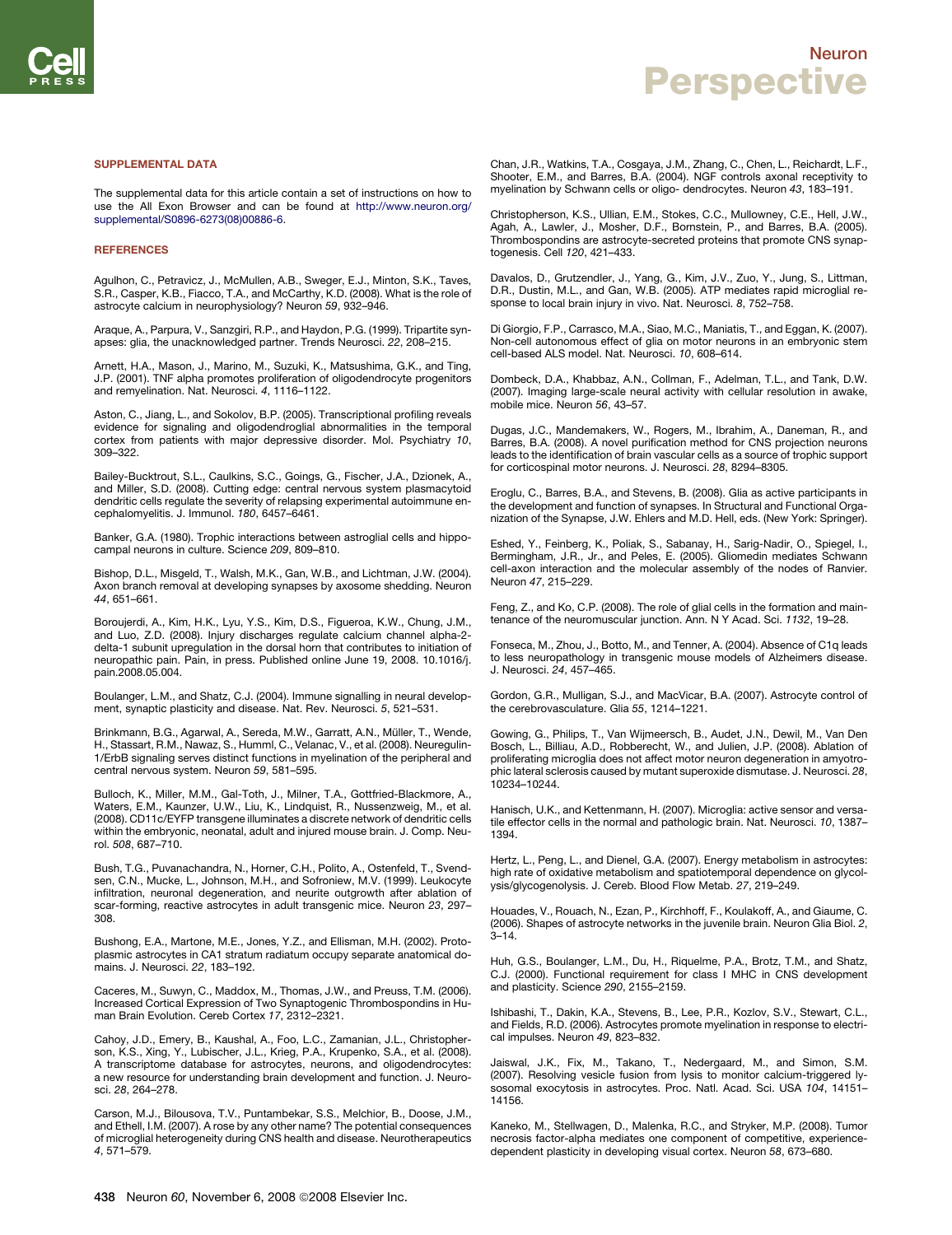#### <span id="page-8-0"></span>SUPPLEMENTAL DATA

The supplemental data for this article contain a set of instructions on how to use the All Exon Browser and can be found at [http://www.neuron.org/](http://www.neuron.org/supplemental/S0896-6273(08)00886-6) [supplemental/S0896-6273\(08\)00886-6](http://www.neuron.org/supplemental/S0896-6273(08)00886-6).

#### **REFERENCES**

Agulhon, C., Petravicz, J., McMullen, A.B., Sweger, E.J., Minton, S.K., Taves, S.R., Casper, K.B., Fiacco, T.A., and McCarthy, K.D. (2008). What is the role of astrocyte calcium in neurophysiology? Neuron *59*, 932–946.

Araque, A., Parpura, V., Sanzgiri, R.P., and Haydon, P.G. (1999). Tripartite synapses: glia, the unacknowledged partner. Trends Neurosci. *22*, 208–215.

Arnett, H.A., Mason, J., Marino, M., Suzuki, K., Matsushima, G.K., and Ting, J.P. (2001). TNF alpha promotes proliferation of oligodendrocyte progenitors and remyelination. Nat. Neurosci. *4*, 1116–1122.

Aston, C., Jiang, L., and Sokolov, B.P. (2005). Transcriptional profiling reveals evidence for signaling and oligodendroglial abnormalities in the temporal cortex from patients with major depressive disorder. Mol. Psychiatry *10*, 309–322.

Bailey-Bucktrout, S.L., Caulkins, S.C., Goings, G., Fischer, J.A., Dzionek, A., and Miller, S.D. (2008). Cutting edge: central nervous system plasmacytoid dendritic cells regulate the severity of relapsing experimental autoimmune encephalomyelitis. J. Immunol. *180*, 6457–6461.

Banker, G.A. (1980). Trophic interactions between astroglial cells and hippocampal neurons in culture. Science *209*, 809–810.

Bishop, D.L., Misgeld, T., Walsh, M.K., Gan, W.B., and Lichtman, J.W. (2004). Axon branch removal at developing synapses by axosome shedding. Neuron *44*, 651–661.

Boroujerdi, A., Kim, H.K., Lyu, Y.S., Kim, D.S., Figueroa, K.W., Chung, J.M., and Luo, Z.D. (2008). Injury discharges regulate calcium channel alpha-2 delta-1 subunit upregulation in the dorsal horn that contributes to initiation of neuropathic pain. Pain, in press. Published online June 19, 2008. 10.1016/j. pain.2008.05.004.

Boulanger, L.M., and Shatz, C.J. (2004). Immune signalling in neural development, synaptic plasticity and disease. Nat. Rev. Neurosci. *5*, 521–531.

Brinkmann, B.G., Agarwal, A., Sereda, M.W., Garratt, A.N., Müller, T., Wende, H., Stassart, R.M., Nawaz, S., Humml, C., Velanac, V., et al. (2008). Neuregulin-1/ErbB signaling serves distinct functions in myelination of the peripheral and central nervous system. Neuron *59*, 581–595.

Bulloch, K., Miller, M.M., Gal-Toth, J., Milner, T.A., Gottfried-Blackmore, A., Waters, E.M., Kaunzer, U.W., Liu, K., Lindquist, R., Nussenzweig, M., et al. (2008). CD11c/EYFP transgene illuminates a discrete network of dendritic cells within the embryonic, neonatal, adult and injured mouse brain. J. Comp. Neurol. *508*, 687–710.

Bush, T.G., Puvanachandra, N., Horner, C.H., Polito, A., Ostenfeld, T., Svendsen, C.N., Mucke, L., Johnson, M.H., and Sofroniew, M.V. (1999). Leukocyte infiltration, neuronal degeneration, and neurite outgrowth after ablation of scar-forming, reactive astrocytes in adult transgenic mice. Neuron *23*, 297– 308.

Bushong, E.A., Martone, M.E., Jones, Y.Z., and Ellisman, M.H. (2002). Protoplasmic astrocytes in CA1 stratum radiatum occupy separate anatomical domains. J. Neurosci. *22*, 183–192.

Caceres, M., Suwyn, C., Maddox, M., Thomas, J.W., and Preuss, T.M. (2006). Increased Cortical Expression of Two Synaptogenic Thrombospondins in Human Brain Evolution. Cereb Cortex *17*, 2312–2321.

Cahoy, J.D., Emery, B., Kaushal, A., Foo, L.C., Zamanian, J.L., Christopherson, K.S., Xing, Y., Lubischer, J.L., Krieg, P.A., Krupenko, S.A., et al. (2008). A transcriptome database for astrocytes, neurons, and oligodendrocytes: a new resource for understanding brain development and function. J. Neurosci. *28*, 264–278.

Carson, M.J., Bilousova, T.V., Puntambekar, S.S., Melchior, B., Doose, J.M., and Ethell, I.M. (2007). A rose by any other name? The potential consequences of microglial heterogeneity during CNS health and disease. Neurotherapeutics *4*, 571–579.

Chan, J.R., Watkins, T.A., Cosgaya, J.M., Zhang, C., Chen, L., Reichardt, L.F., Shooter, E.M., and Barres, B.A. (2004). NGF controls axonal receptivity to myelination by Schwann cells or oligo- dendrocytes. Neuron *43*, 183–191.

Christopherson, K.S., Ullian, E.M., Stokes, C.C., Mullowney, C.E., Hell, J.W., Agah, A., Lawler, J., Mosher, D.F., Bornstein, P., and Barres, B.A. (2005). Thrombospondins are astrocyte-secreted proteins that promote CNS synaptogenesis. Cell *120*, 421–433.

Davalos, D., Grutzendler, J., Yang, G., Kim, J.V., Zuo, Y., Jung, S., Littman, D.R., Dustin, M.L., and Gan, W.B. (2005). ATP mediates rapid microglial response to local brain injury in vivo. Nat. Neurosci. *8*, 752–758.

Di Giorgio, F.P., Carrasco, M.A., Siao, M.C., Maniatis, T., and Eggan, K. (2007). Non-cell autonomous effect of glia on motor neurons in an embryonic stem cell-based ALS model. Nat. Neurosci. *10*, 608–614.

Dombeck, D.A., Khabbaz, A.N., Collman, F., Adelman, T.L., and Tank, D.W. (2007). Imaging large-scale neural activity with cellular resolution in awake, mobile mice. Neuron *56*, 43–57.

Dugas, J.C., Mandemakers, W., Rogers, M., Ibrahim, A., Daneman, R., and Barres, B.A. (2008). A novel purification method for CNS projection neurons leads to the identification of brain vascular cells as a source of trophic support for corticospinal motor neurons. J. Neurosci. *28*, 8294–8305.

Eroglu, C., Barres, B.A., and Stevens, B. (2008). Glia as active participants in the development and function of synapses. In Structural and Functional Organization of the Synapse, J.W. Ehlers and M.D. Hell, eds. (New York: Springer).

Eshed, Y., Feinberg, K., Poliak, S., Sabanay, H., Sarig-Nadir, O., Spiegel, I., Bermingham, J.R., Jr., and Peles, E. (2005). Gliomedin mediates Schwann cell-axon interaction and the molecular assembly of the nodes of Ranvier. Neuron *47*, 215–229.

Feng, Z., and Ko, C.P. (2008). The role of glial cells in the formation and maintenance of the neuromuscular junction. Ann. N Y Acad. Sci. *1132*, 19–28.

Fonseca, M., Zhou, J., Botto, M., and Tenner, A. (2004). Absence of C1q leads to less neuropathology in transgenic mouse models of Alzheimers disease. J. Neurosci. *24*, 457–465.

Gordon, G.R., Mulligan, S.J., and MacVicar, B.A. (2007). Astrocyte control of the cerebrovasculature. Glia *55*, 1214–1221.

Gowing, G., Philips, T., Van Wijmeersch, B., Audet, J.N., Dewil, M., Van Den Bosch, L., Billiau, A.D., Robberecht, W., and Julien, J.P. (2008). Ablation of proliferating microglia does not affect motor neuron degeneration in amyotrophic lateral sclerosis caused by mutant superoxide dismutase. J. Neurosci. *28*, 10234–10244.

Hanisch, U.K., and Kettenmann, H. (2007). Microglia: active sensor and versatile effector cells in the normal and pathologic brain. Nat. Neurosci. *10*, 1387– 1394.

Hertz, L., Peng, L., and Dienel, G.A. (2007). Energy metabolism in astrocytes: high rate of oxidative metabolism and spatiotemporal dependence on glycolysis/glycogenolysis. J. Cereb. Blood Flow Metab. *27*, 219–249.

Houades, V., Rouach, N., Ezan, P., Kirchhoff, F., Koulakoff, A., and Giaume, C. (2006). Shapes of astrocyte networks in the juvenile brain. Neuron Glia Biol. *2*, 3–14.

Huh, G.S., Boulanger, L.M., Du, H., Riquelme, P.A., Brotz, T.M., and Shatz, C.J. (2000). Functional requirement for class I MHC in CNS development and plasticity. Science *290*, 2155–2159.

Ishibashi, T., Dakin, K.A., Stevens, B., Lee, P.R., Kozlov, S.V., Stewart, C.L., and Fields, R.D. (2006). Astrocytes promote myelination in response to electrical impulses. Neuron *49*, 823–832.

Jaiswal, J.K., Fix, M., Takano, T., Nedergaard, M., and Simon, S.M. (2007). Resolving vesicle fusion from lysis to monitor calcium-triggered lysosomal exocytosis in astrocytes. Proc. Natl. Acad. Sci. USA *104*, 14151– 14156.

Kaneko, M., Stellwagen, D., Malenka, R.C., and Stryker, M.P. (2008). Tumor necrosis factor-alpha mediates one component of competitive, experiencedependent plasticity in developing visual cortex. Neuron *58*, 673–680.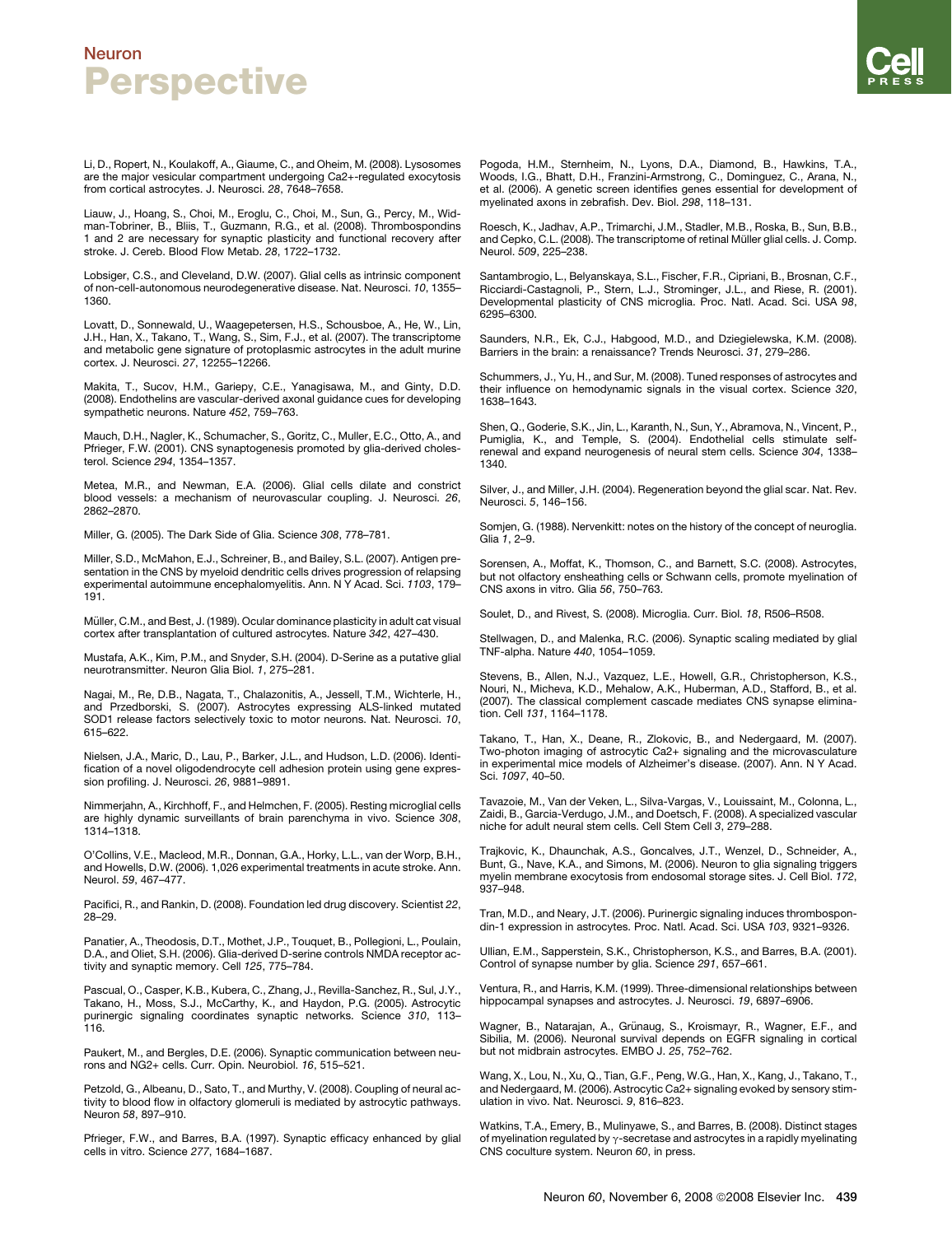<span id="page-9-0"></span>Li, D., Ropert, N., Koulakoff, A., Giaume, C., and Oheim, M. (2008). Lysosomes are the major vesicular compartment undergoing Ca2+-regulated exocytosis from cortical astrocytes. J. Neurosci. *28*, 7648–7658.

Liauw, J., Hoang, S., Choi, M., Eroglu, C., Choi, M., Sun, G., Percy, M., Widman-Tobriner, B., Bliis, T., Guzmann, R.G., et al. (2008). Thrombospondins 1 and 2 are necessary for synaptic plasticity and functional recovery after stroke. J. Cereb. Blood Flow Metab. *28*, 1722–1732.

Lobsiger, C.S., and Cleveland, D.W. (2007). Glial cells as intrinsic component of non-cell-autonomous neurodegenerative disease. Nat. Neurosci. *10*, 1355– 1360.

Lovatt, D., Sonnewald, U., Waagepetersen, H.S., Schousboe, A., He, W., Lin, J.H., Han, X., Takano, T., Wang, S., Sim, F.J., et al. (2007). The transcriptome and metabolic gene signature of protoplasmic astrocytes in the adult murine cortex. J. Neurosci. *27*, 12255–12266.

Makita, T., Sucov, H.M., Gariepy, C.E., Yanagisawa, M., and Ginty, D.D. (2008). Endothelins are vascular-derived axonal guidance cues for developing sympathetic neurons. Nature *452*, 759–763.

Mauch, D.H., Nagler, K., Schumacher, S., Goritz, C., Muller, E.C., Otto, A., and Pfrieger, F.W. (2001). CNS synaptogenesis promoted by glia-derived cholesterol. Science *294*, 1354–1357.

Metea, M.R., and Newman, E.A. (2006). Glial cells dilate and constrict blood vessels: a mechanism of neurovascular coupling. J. Neurosci. *26*, 2862–2870.

Miller, G. (2005). The Dark Side of Glia. Science *308*, 778–781.

Miller, S.D., McMahon, E.J., Schreiner, B., and Bailey, S.L. (2007). Antigen presentation in the CNS by myeloid dendritic cells drives progression of relapsing experimental autoimmune encephalomyelitis. Ann. N Y Acad. Sci. *1103*, 179– 191.

Müller, C.M., and Best, J. (1989). Ocular dominance plasticity in adult cat visual cortex after transplantation of cultured astrocytes. Nature *342*, 427–430.

Mustafa, A.K., Kim, P.M., and Snyder, S.H. (2004). D-Serine as a putative glial neurotransmitter. Neuron Glia Biol. *1*, 275–281.

Nagai, M., Re, D.B., Nagata, T., Chalazonitis, A., Jessell, T.M., Wichterle, H., and Przedborski, S. (2007). Astrocytes expressing ALS-linked mutated SOD1 release factors selectively toxic to motor neurons. Nat. Neurosci. *10*, 615–622.

Nielsen, J.A., Maric, D., Lau, P., Barker, J.L., and Hudson, L.D. (2006). Identification of a novel oligodendrocyte cell adhesion protein using gene expression profiling. J. Neurosci. *26*, 9881–9891.

Nimmerjahn, A., Kirchhoff, F., and Helmchen, F. (2005). Resting microglial cells are highly dynamic surveillants of brain parenchyma in vivo. Science *308*, 1314–1318.

O'Collins, V.E., Macleod, M.R., Donnan, G.A., Horky, L.L., van der Worp, B.H., and Howells, D.W. (2006). 1,026 experimental treatments in acute stroke. Ann. Neurol. *59*, 467–477.

Pacifici, R., and Rankin, D. (2008). Foundation led drug discovery. Scientist *22*, 28–29.

Panatier, A., Theodosis, D.T., Mothet, J.P., Touquet, B., Pollegioni, L., Poulain, D.A., and Oliet, S.H. (2006). Glia-derived D-serine controls NMDA receptor activity and synaptic memory. Cell *125*, 775–784.

Pascual, O., Casper, K.B., Kubera, C., Zhang, J., Revilla-Sanchez, R., Sul, J.Y., Takano, H., Moss, S.J., McCarthy, K., and Haydon, P.G. (2005). Astrocytic purinergic signaling coordinates synaptic networks. Science *310*, 113– 116.

Paukert, M., and Bergles, D.E. (2006). Synaptic communication between neurons and NG2+ cells. Curr. Opin. Neurobiol. *16*, 515–521.

Petzold, G., Albeanu, D., Sato, T., and Murthy, V. (2008). Coupling of neural activity to blood flow in olfactory glomeruli is mediated by astrocytic pathways. Neuron *58*, 897–910.

Pfrieger, F.W., and Barres, B.A. (1997). Synaptic efficacy enhanced by glial cells in vitro. Science *277*, 1684–1687.

Pogoda, H.M., Sternheim, N., Lyons, D.A., Diamond, B., Hawkins, T.A., Woods, I.G., Bhatt, D.H., Franzini-Armstrong, C., Dominguez, C., Arana, N., et al. (2006). A genetic screen identifies genes essential for development of myelinated axons in zebrafish. Dev. Biol. *298*, 118–131.

Roesch, K., Jadhav, A.P., Trimarchi, J.M., Stadler, M.B., Roska, B., Sun, B.B., and Cepko, C.L. (2008). The transcriptome of retinal Müller glial cells. J. Comp. Neurol. *509*, 225–238.

Santambrogio, L., Belyanskaya, S.L., Fischer, F.R., Cipriani, B., Brosnan, C.F., Ricciardi-Castagnoli, P., Stern, L.J., Strominger, J.L., and Riese, R. (2001). Developmental plasticity of CNS microglia. Proc. Natl. Acad. Sci. USA *98*, 6295–6300.

Saunders, N.R., Ek, C.J., Habgood, M.D., and Dziegielewska, K.M. (2008). Barriers in the brain: a renaissance? Trends Neurosci. *31*, 279–286.

Schummers, J., Yu, H., and Sur, M. (2008). Tuned responses of astrocytes and their influence on hemodynamic signals in the visual cortex. Science *320*, 1638–1643.

Shen, Q., Goderie, S.K., Jin, L., Karanth, N., Sun, Y., Abramova, N., Vincent, P., Pumiglia, K., and Temple, S. (2004). Endothelial cells stimulate selfrenewal and expand neurogenesis of neural stem cells. Science *304*, 1338– 1340.

Silver, J., and Miller, J.H. (2004). Regeneration beyond the glial scar. Nat. Rev. Neurosci. *5*, 146–156.

Somjen, G. (1988). Nervenkitt: notes on the history of the concept of neuroglia. Glia *1*, 2–9.

Sorensen, A., Moffat, K., Thomson, C., and Barnett, S.C. (2008). Astrocytes, but not olfactory ensheathing cells or Schwann cells, promote myelination of CNS axons in vitro. Glia *56*, 750–763.

Soulet, D., and Rivest, S. (2008). Microglia. Curr. Biol. *18*, R506–R508.

Stellwagen, D., and Malenka, R.C. (2006). Synaptic scaling mediated by glial TNF-alpha. Nature *440*, 1054–1059.

Stevens, B., Allen, N.J., Vazquez, L.E., Howell, G.R., Christopherson, K.S., Nouri, N., Micheva, K.D., Mehalow, A.K., Huberman, A.D., Stafford, B., et al. (2007). The classical complement cascade mediates CNS synapse elimination. Cell *131*, 1164–1178.

Takano, T., Han, X., Deane, R., Zlokovic, B., and Nedergaard, M. (2007). Two-photon imaging of astrocytic Ca2+ signaling and the microvasculature in experimental mice models of Alzheimer's disease. (2007). Ann. N Y Acad. Sci. *1097*, 40–50.

Tavazoie, M., Van der Veken, L., Silva-Vargas, V., Louissaint, M., Colonna, L., Zaidi, B., Garcia-Verdugo, J.M., and Doetsch, F. (2008). A specialized vascular niche for adult neural stem cells. Cell Stem Cell *3*, 279–288.

Trajkovic, K., Dhaunchak, A.S., Goncalves, J.T., Wenzel, D., Schneider, A., Bunt, G., Nave, K.A., and Simons, M. (2006). Neuron to glia signaling triggers myelin membrane exocytosis from endosomal storage sites. J. Cell Biol. *172*, 937–948.

Tran, M.D., and Neary, J.T. (2006). Purinergic signaling induces thrombospondin-1 expression in astrocytes. Proc. Natl. Acad. Sci. USA *103*, 9321–9326.

Ullian, E.M., Sapperstein, S.K., Christopherson, K.S., and Barres, B.A. (2001). Control of synapse number by glia. Science *291*, 657–661.

Ventura, R., and Harris, K.M. (1999). Three-dimensional relationships between hippocampal synapses and astrocytes. J. Neurosci. *19*, 6897–6906.

Wagner, B., Natarajan, A., Grünaug, S., Kroismayr, R., Wagner, E.F., and<br>Sibilia, M. (2006). Neuronal survival depends on EGFR signaling in cortical but not midbrain astrocytes. EMBO J. *25*, 752–762.

Wang, X., Lou, N., Xu, Q., Tian, G.F., Peng, W.G., Han, X., Kang, J., Takano, T., and Nedergaard, M. (2006). Astrocytic Ca2+ signaling evoked by sensory stimulation in vivo. Nat. Neurosci. *9*, 816–823.

Watkins, T.A., Emery, B., Mulinyawe, S., and Barres, B. (2008). Distinct stages of myelination regulated by  $\gamma$ -secretase and astrocytes in a rapidly myelinating CNS coculture system. Neuron *60*, in press.